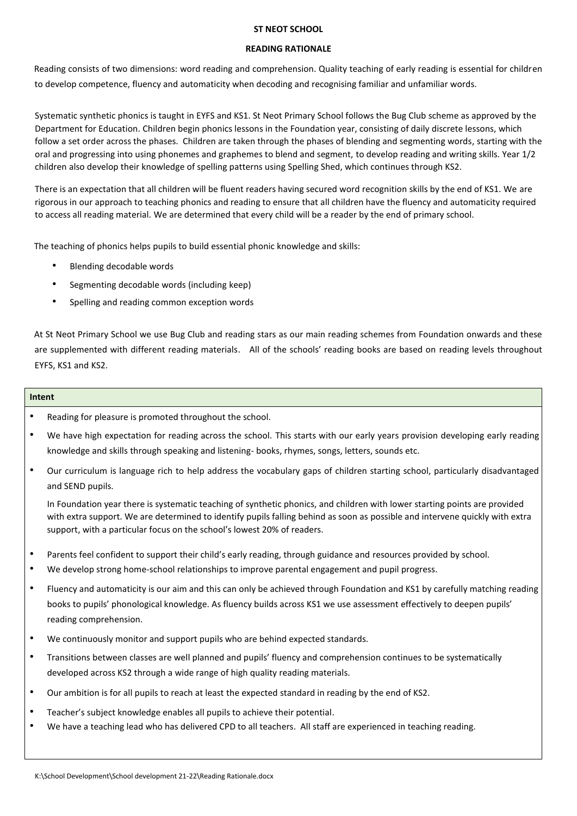# **ST NEOT SCHOOL**

# **READING RATIONALE**

Reading consists of two dimensions: word reading and comprehension. Quality teaching of early reading is essential for children to develop competence, fluency and automaticity when decoding and recognising familiar and unfamiliar words.

Systematic synthetic phonics is taught in EYFS and KS1. St Neot Primary School follows the Bug Club scheme as approved by the Department for Education. Children begin phonics lessons in the Foundation year, consisting of daily discrete lessons, which follow a set order across the phases. Children are taken through the phases of blending and segmenting words, starting with the oral and progressing into using phonemes and graphemes to blend and segment, to develop reading and writing skills. Year 1/2 children also develop their knowledge of spelling patterns using Spelling Shed, which continues through KS2.

There is an expectation that all children will be fluent readers having secured word recognition skills by the end of KS1. We are rigorous in our approach to teaching phonics and reading to ensure that all children have the fluency and automaticity required to access all reading material. We are determined that every child will be a reader by the end of primary school.

The teaching of phonics helps pupils to build essential phonic knowledge and skills:

- Blending decodable words
- Segmenting decodable words (including keep)
- Spelling and reading common exception words

At St Neot Primary School we use Bug Club and reading stars as our main reading schemes from Foundation onwards and these are supplemented with different reading materials. All of the schools' reading books are based on reading levels throughout EYFS, KS1 and KS2.

# **Intent**

- Reading for pleasure is promoted throughout the school.
- We have high expectation for reading across the school. This starts with our early years provision developing early reading knowledge and skills through speaking and listening- books, rhymes, songs, letters, sounds etc.
- Our curriculum is language rich to help address the vocabulary gaps of children starting school, particularly disadvantaged and SEND pupils.

In Foundation year there is systematic teaching of synthetic phonics, and children with lower starting points are provided with extra support. We are determined to identify pupils falling behind as soon as possible and intervene quickly with extra support, with a particular focus on the school's lowest 20% of readers.

- Parents feel confident to support their child's early reading, through guidance and resources provided by school.
- We develop strong home-school relationships to improve parental engagement and pupil progress.
- Fluency and automaticity is our aim and this can only be achieved through Foundation and KS1 by carefully matching reading books to pupils' phonological knowledge. As fluency builds across KS1 we use assessment effectively to deepen pupils' reading comprehension.
- We continuously monitor and support pupils who are behind expected standards.
- Transitions between classes are well planned and pupils' fluency and comprehension continues to be systematically developed across KS2 through a wide range of high quality reading materials.
- Our ambition is for all pupils to reach at least the expected standard in reading by the end of KS2.
- Teacher's subject knowledge enables all pupils to achieve their potential.
- We have a teaching lead who has delivered CPD to all teachers. All staff are experienced in teaching reading.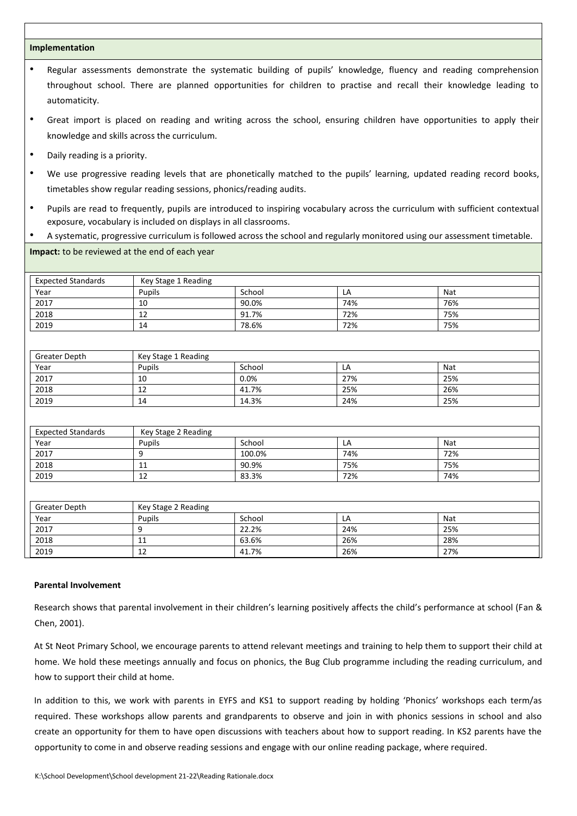### **Implementation**

- Regular assessments demonstrate the systematic building of pupils' knowledge, fluency and reading comprehension throughout school. There are planned opportunities for children to practise and recall their knowledge leading to automaticity.
- Great import is placed on reading and writing across the school, ensuring children have opportunities to apply their knowledge and skills across the curriculum.
- Daily reading is a priority.
- We use progressive reading levels that are phonetically matched to the pupils' learning, updated reading record books, timetables show regular reading sessions, phonics/reading audits.
- Pupils are read to frequently, pupils are introduced to inspiring vocabulary across the curriculum with sufficient contextual exposure, vocabulary is included on displays in all classrooms.
- A systematic, progressive curriculum is followed across the school and regularly monitored using our assessment timetable.

## **Impact:** to be reviewed at the end of each year

| <b>Expected Standards</b> | Key Stage 1 Reading |        |     |     |
|---------------------------|---------------------|--------|-----|-----|
| Year                      | Pupils              | School | LA  | Nat |
| 2017                      | 10                  | 90.0%  | 74% | 76% |
| 2018                      | $\sim$<br>12        | 91.7%  | 72% | 75% |
| 2019                      | 14                  | 78.6%  | 72% | 75% |

| <b>Greater Depth</b> | Key Stage 1 Reading |        |     |     |
|----------------------|---------------------|--------|-----|-----|
| Year                 | Pupils              | School | LA  | Nat |
| 2017                 | 10                  | 0.0%   | 27% | 25% |
| 2018                 | 12                  | 41.7%  | 25% | 26% |
| 2019                 | 14                  | 14.3%  | 24% | 25% |

| <b>Expected Standards</b> | Key Stage 2 Reading |        |     |     |
|---------------------------|---------------------|--------|-----|-----|
| Year                      | Pupils              | School | LA  | Nat |
| 2017                      |                     | 100.0% | 74% | 72% |
| 2018                      | 11                  | 90.9%  | 75% | 75% |
| 2019                      | 12                  | 83.3%  | 72% | 74% |

| <b>Greater Depth</b> | Key Stage 2 Reading |        |     |     |
|----------------------|---------------------|--------|-----|-----|
| Year                 | Pupils              | School | LA  | Nat |
| 2017                 |                     | 22.2%  | 24% | 25% |
| 2018                 | 11                  | 63.6%  | 26% | 28% |
| 2019                 | 12                  | 41.7%  | 26% | 27% |

#### **Parental Involvement**

Research shows that parental involvement in their children's learning positively affects the child's performance at school (Fan & Chen, 2001).

At St Neot Primary School, we encourage parents to attend relevant meetings and training to help them to support their child at home. We hold these meetings annually and focus on phonics, the Bug Club programme including the reading curriculum, and how to support their child at home.

In addition to this, we work with parents in EYFS and KS1 to support reading by holding 'Phonics' workshops each term/as required. These workshops allow parents and grandparents to observe and join in with phonics sessions in school and also create an opportunity for them to have open discussions with teachers about how to support reading. In KS2 parents have the opportunity to come in and observe reading sessions and engage with our online reading package, where required.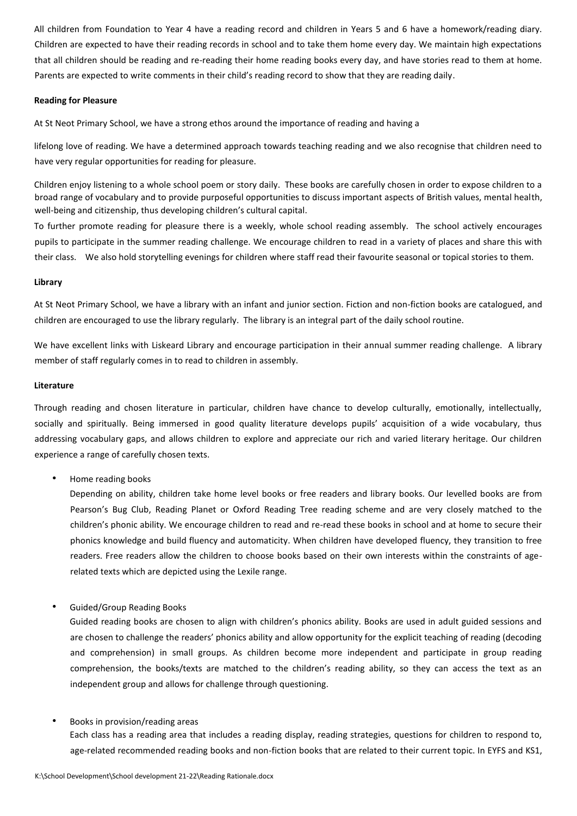All children from Foundation to Year 4 have a reading record and children in Years 5 and 6 have a homework/reading diary. Children are expected to have their reading records in school and to take them home every day. We maintain high expectations that all children should be reading and re-reading their home reading books every day, and have stories read to them at home. Parents are expected to write comments in their child's reading record to show that they are reading daily.

### **Reading for Pleasure**

At St Neot Primary School, we have a strong ethos around the importance of reading and having a

lifelong love of reading. We have a determined approach towards teaching reading and we also recognise that children need to have very regular opportunities for reading for pleasure.

Children enjoy listening to a whole school poem or story daily. These books are carefully chosen in order to expose children to a broad range of vocabulary and to provide purposeful opportunities to discuss important aspects of British values, mental health, well-being and citizenship, thus developing children's cultural capital.

To further promote reading for pleasure there is a weekly, whole school reading assembly. The school actively encourages pupils to participate in the summer reading challenge. We encourage children to read in a variety of places and share this with their class. We also hold storytelling evenings for children where staff read their favourite seasonal or topical stories to them.

## **Library**

At St Neot Primary School, we have a library with an infant and junior section. Fiction and non-fiction books are catalogued, and children are encouraged to use the library regularly. The library is an integral part of the daily school routine.

We have excellent links with Liskeard Library and encourage participation in their annual summer reading challenge. A library member of staff regularly comes in to read to children in assembly.

#### **Literature**

Through reading and chosen literature in particular, children have chance to develop culturally, emotionally, intellectually, socially and spiritually. Being immersed in good quality literature develops pupils' acquisition of a wide vocabulary, thus addressing vocabulary gaps, and allows children to explore and appreciate our rich and varied literary heritage. Our children experience a range of carefully chosen texts.

• Home reading books

Depending on ability, children take home level books or free readers and library books. Our levelled books are from Pearson's Bug Club, Reading Planet or Oxford Reading Tree reading scheme and are very closely matched to the children's phonic ability. We encourage children to read and re-read these books in school and at home to secure their phonics knowledge and build fluency and automaticity. When children have developed fluency, they transition to free readers. Free readers allow the children to choose books based on their own interests within the constraints of agerelated texts which are depicted using the Lexile range.

• Guided/Group Reading Books

Guided reading books are chosen to align with children's phonics ability. Books are used in adult guided sessions and are chosen to challenge the readers' phonics ability and allow opportunity for the explicit teaching of reading (decoding and comprehension) in small groups. As children become more independent and participate in group reading comprehension, the books/texts are matched to the children's reading ability, so they can access the text as an independent group and allows for challenge through questioning.

• Books in provision/reading areas

Each class has a reading area that includes a reading display, reading strategies, questions for children to respond to, age-related recommended reading books and non-fiction books that are related to their current topic. In EYFS and KS1,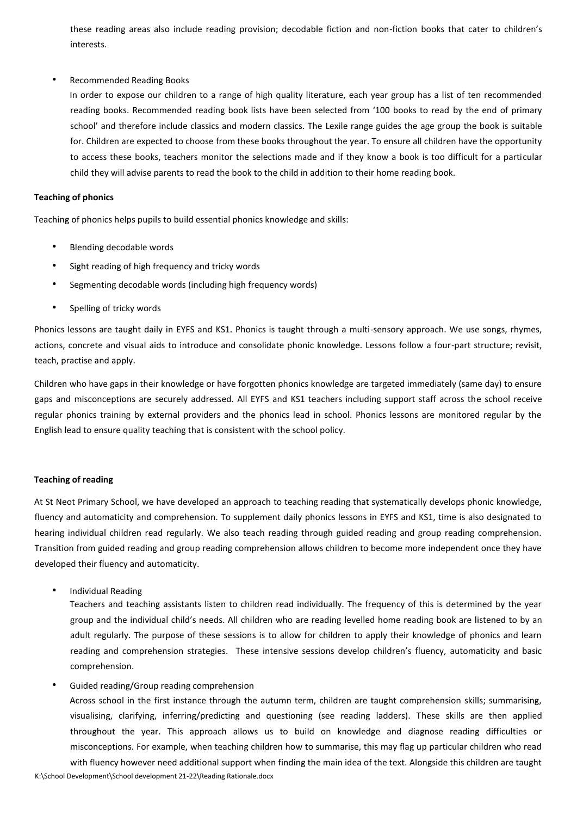these reading areas also include reading provision; decodable fiction and non-fiction books that cater to children's interests.

## • Recommended Reading Books

In order to expose our children to a range of high quality literature, each year group has a list of ten recommended reading books. Recommended reading book lists have been selected from '100 books to read by the end of primary school' and therefore include classics and modern classics. The Lexile range guides the age group the book is suitable for. Children are expected to choose from these books throughout the year. To ensure all children have the opportunity to access these books, teachers monitor the selections made and if they know a book is too difficult for a particular child they will advise parents to read the book to the child in addition to their home reading book.

### **Teaching of phonics**

Teaching of phonics helps pupils to build essential phonics knowledge and skills:

- Blending decodable words
- Sight reading of high frequency and tricky words
- Segmenting decodable words (including high frequency words)
- Spelling of tricky words

Phonics lessons are taught daily in EYFS and KS1. Phonics is taught through a multi-sensory approach. We use songs, rhymes, actions, concrete and visual aids to introduce and consolidate phonic knowledge. Lessons follow a four-part structure; revisit, teach, practise and apply.

Children who have gaps in their knowledge or have forgotten phonics knowledge are targeted immediately (same day) to ensure gaps and misconceptions are securely addressed. All EYFS and KS1 teachers including support staff across the school receive regular phonics training by external providers and the phonics lead in school. Phonics lessons are monitored regular by the English lead to ensure quality teaching that is consistent with the school policy.

#### **Teaching of reading**

At St Neot Primary School, we have developed an approach to teaching reading that systematically develops phonic knowledge, fluency and automaticity and comprehension. To supplement daily phonics lessons in EYFS and KS1, time is also designated to hearing individual children read regularly. We also teach reading through guided reading and group reading comprehension. Transition from guided reading and group reading comprehension allows children to become more independent once they have developed their fluency and automaticity.

• Individual Reading

Teachers and teaching assistants listen to children read individually. The frequency of this is determined by the year group and the individual child's needs. All children who are reading levelled home reading book are listened to by an adult regularly. The purpose of these sessions is to allow for children to apply their knowledge of phonics and learn reading and comprehension strategies. These intensive sessions develop children's fluency, automaticity and basic comprehension.

• Guided reading/Group reading comprehension

Across school in the first instance through the autumn term, children are taught comprehension skills; summarising, visualising, clarifying, inferring/predicting and questioning (see reading ladders). These skills are then applied throughout the year. This approach allows us to build on knowledge and diagnose reading difficulties or misconceptions. For example, when teaching children how to summarise, this may flag up particular children who read with fluency however need additional support when finding the main idea of the text. Alongside this children are taught